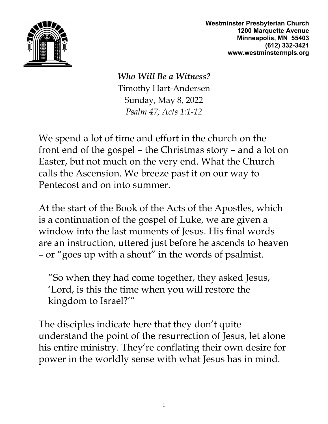

**Westminster Presbyterian Church 1200 Marquette Avenue Minneapolis, MN 55403 (612) 332-3421 www.westminstermpls.org**

*Who Will Be a Witness?* Timothy Hart-Andersen Sunday, May 8, 2022 *Psalm 47; Acts 1:1-12*

We spend a lot of time and effort in the church on the front end of the gospel – the Christmas story – and a lot on Easter, but not much on the very end. What the Church calls the Ascension. We breeze past it on our way to Pentecost and on into summer.

At the start of the Book of the Acts of the Apostles, which is a continuation of the gospel of Luke, we are given a window into the last moments of Jesus. His final words are an instruction, uttered just before he ascends to heaven – or "goes up with a shout" in the words of psalmist.

"So when they had come together, they asked Jesus, 'Lord, is this the time when you will restore the kingdom to Israel?'"

The disciples indicate here that they don't quite understand the point of the resurrection of Jesus, let alone his entire ministry. They're conflating their own desire for power in the worldly sense with what Jesus has in mind.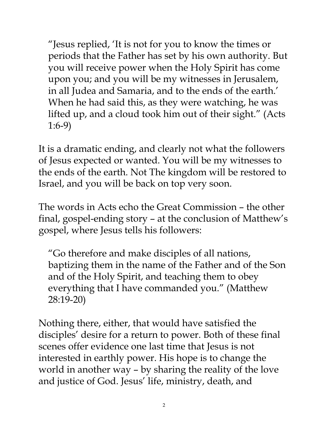"Jesus replied, 'It is not for you to know the times or periods that the Father has set by his own authority. But you will receive power when the Holy Spirit has come upon you; and you will be my witnesses in Jerusalem, in all Judea and Samaria, and to the ends of the earth.' When he had said this, as they were watching, he was lifted up, and a cloud took him out of their sight." (Acts 1:6-9)

It is a dramatic ending, and clearly not what the followers of Jesus expected or wanted. You will be my witnesses to the ends of the earth. Not The kingdom will be restored to Israel, and you will be back on top very soon.

The words in Acts echo the Great Commission – the other final, gospel-ending story – at the conclusion of Matthew's gospel, where Jesus tells his followers:

"Go therefore and make disciples of all nations, baptizing them in the name of the Father and of the Son and of the Holy Spirit, and teaching them to obey everything that I have commanded you." (Matthew 28:19-20)

Nothing there, either, that would have satisfied the disciples' desire for a return to power. Both of these final scenes offer evidence one last time that Jesus is not interested in earthly power. His hope is to change the world in another way – by sharing the reality of the love and justice of God. Jesus' life, ministry, death, and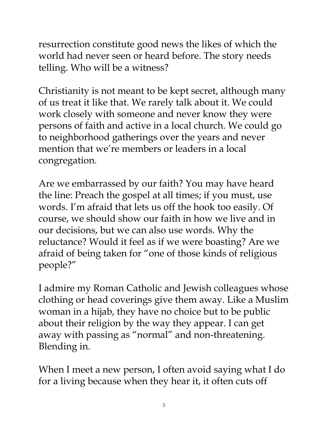resurrection constitute good news the likes of which the world had never seen or heard before. The story needs telling. Who will be a witness?

Christianity is not meant to be kept secret, although many of us treat it like that. We rarely talk about it. We could work closely with someone and never know they were persons of faith and active in a local church. We could go to neighborhood gatherings over the years and never mention that we're members or leaders in a local congregation.

Are we embarrassed by our faith? You may have heard the line: Preach the gospel at all times; if you must, use words. I'm afraid that lets us off the hook too easily. Of course, we should show our faith in how we live and in our decisions, but we can also use words. Why the reluctance? Would it feel as if we were boasting? Are we afraid of being taken for "one of those kinds of religious people?"

I admire my Roman Catholic and Jewish colleagues whose clothing or head coverings give them away. Like a Muslim woman in a hijab, they have no choice but to be public about their religion by the way they appear. I can get away with passing as "normal" and non-threatening. Blending in.

When I meet a new person, I often avoid saying what I do for a living because when they hear it, it often cuts off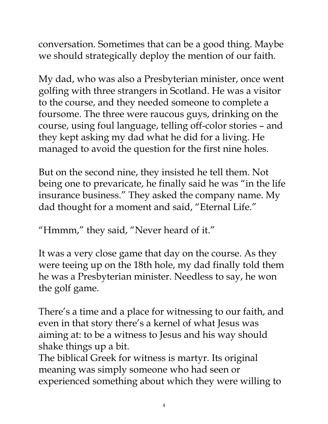conversation. Sometimes that can be a good thing. Maybe we should strategically deploy the mention of our faith.

My dad, who was also a Presbyterian minister, once went golfing with three strangers in Scotland. He was a visitor to the course, and they needed someone to complete a foursome. The three were raucous guys, drinking on the course, using foul language, telling off-color stories – and they kept asking my dad what he did for a living. He managed to avoid the question for the first nine holes.

But on the second nine, they insisted he tell them. Not being one to prevaricate, he finally said he was "in the life insurance business." They asked the company name. My dad thought for a moment and said, "Eternal Life."

"Hmmm," they said, "Never heard of it."

It was a very close game that day on the course. As they were teeing up on the 18th hole, my dad finally told them he was a Presbyterian minister. Needless to say, he won the golf game.

There's a time and a place for witnessing to our faith, and even in that story there's a kernel of what Jesus was aiming at: to be a witness to Jesus and his way should shake things up a bit.

The biblical Greek for witness is martyr. Its original meaning was simply someone who had seen or experienced something about which they were willing to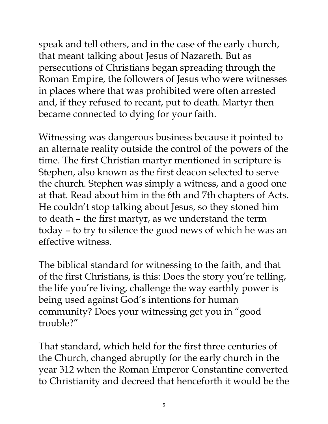speak and tell others, and in the case of the early church, that meant talking about Jesus of Nazareth. But as persecutions of Christians began spreading through the Roman Empire, the followers of Jesus who were witnesses in places where that was prohibited were often arrested and, if they refused to recant, put to death. Martyr then became connected to dying for your faith.

Witnessing was dangerous business because it pointed to an alternate reality outside the control of the powers of the time. The first Christian martyr mentioned in scripture is Stephen, also known as the first deacon selected to serve the church. Stephen was simply a witness, and a good one at that. Read about him in the 6th and 7th chapters of Acts. He couldn't stop talking about Jesus, so they stoned him to death – the first martyr, as we understand the term today – to try to silence the good news of which he was an effective witness.

The biblical standard for witnessing to the faith, and that of the first Christians, is this: Does the story you're telling, the life you're living, challenge the way earthly power is being used against God's intentions for human community? Does your witnessing get you in "good trouble?"

That standard, which held for the first three centuries of the Church, changed abruptly for the early church in the year 312 when the Roman Emperor Constantine converted to Christianity and decreed that henceforth it would be the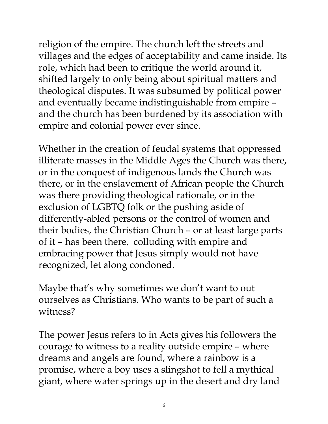religion of the empire. The church left the streets and villages and the edges of acceptability and came inside. Its role, which had been to critique the world around it, shifted largely to only being about spiritual matters and theological disputes. It was subsumed by political power and eventually became indistinguishable from empire – and the church has been burdened by its association with empire and colonial power ever since.

Whether in the creation of feudal systems that oppressed illiterate masses in the Middle Ages the Church was there, or in the conquest of indigenous lands the Church was there, or in the enslavement of African people the Church was there providing theological rationale, or in the exclusion of LGBTQ folk or the pushing aside of differently-abled persons or the control of women and their bodies, the Christian Church – or at least large parts of it – has been there, colluding with empire and embracing power that Jesus simply would not have recognized, let along condoned.

Maybe that's why sometimes we don't want to out ourselves as Christians. Who wants to be part of such a witness?

The power Jesus refers to in Acts gives his followers the courage to witness to a reality outside empire – where dreams and angels are found, where a rainbow is a promise, where a boy uses a slingshot to fell a mythical giant, where water springs up in the desert and dry land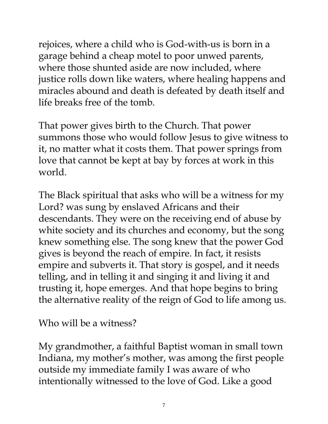rejoices, where a child who is God-with-us is born in a garage behind a cheap motel to poor unwed parents, where those shunted aside are now included, where justice rolls down like waters, where healing happens and miracles abound and death is defeated by death itself and life breaks free of the tomb.

That power gives birth to the Church. That power summons those who would follow Jesus to give witness to it, no matter what it costs them. That power springs from love that cannot be kept at bay by forces at work in this world.

The Black spiritual that asks who will be a witness for my Lord? was sung by enslaved Africans and their descendants. They were on the receiving end of abuse by white society and its churches and economy, but the song knew something else. The song knew that the power God gives is beyond the reach of empire. In fact, it resists empire and subverts it. That story is gospel, and it needs telling, and in telling it and singing it and living it and trusting it, hope emerges. And that hope begins to bring the alternative reality of the reign of God to life among us.

Who will be a witness?

My grandmother, a faithful Baptist woman in small town Indiana, my mother's mother, was among the first people outside my immediate family I was aware of who intentionally witnessed to the love of God. Like a good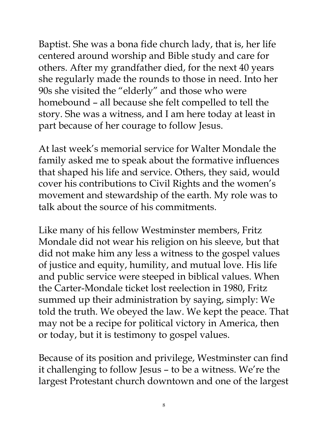Baptist. She was a bona fide church lady, that is, her life centered around worship and Bible study and care for others. After my grandfather died, for the next 40 years she regularly made the rounds to those in need. Into her 90s she visited the "elderly" and those who were homebound – all because she felt compelled to tell the story. She was a witness, and I am here today at least in part because of her courage to follow Jesus.

At last week's memorial service for Walter Mondale the family asked me to speak about the formative influences that shaped his life and service. Others, they said, would cover his contributions to Civil Rights and the women's movement and stewardship of the earth. My role was to talk about the source of his commitments.

Like many of his fellow Westminster members, Fritz Mondale did not wear his religion on his sleeve, but that did not make him any less a witness to the gospel values of justice and equity, humility, and mutual love. His life and public service were steeped in biblical values. When the Carter-Mondale ticket lost reelection in 1980, Fritz summed up their administration by saying, simply: We told the truth. We obeyed the law. We kept the peace. That may not be a recipe for political victory in America, then or today, but it is testimony to gospel values.

Because of its position and privilege, Westminster can find it challenging to follow Jesus – to be a witness. We're the largest Protestant church downtown and one of the largest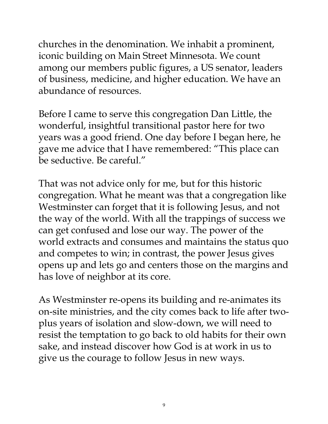churches in the denomination. We inhabit a prominent, iconic building on Main Street Minnesota. We count among our members public figures, a US senator, leaders of business, medicine, and higher education. We have an abundance of resources.

Before I came to serve this congregation Dan Little, the wonderful, insightful transitional pastor here for two years was a good friend. One day before I began here, he gave me advice that I have remembered: "This place can be seductive. Be careful."

That was not advice only for me, but for this historic congregation. What he meant was that a congregation like Westminster can forget that it is following Jesus, and not the way of the world. With all the trappings of success we can get confused and lose our way. The power of the world extracts and consumes and maintains the status quo and competes to win; in contrast, the power Jesus gives opens up and lets go and centers those on the margins and has love of neighbor at its core.

As Westminster re-opens its building and re-animates its on-site ministries, and the city comes back to life after twoplus years of isolation and slow-down, we will need to resist the temptation to go back to old habits for their own sake, and instead discover how God is at work in us to give us the courage to follow Jesus in new ways.